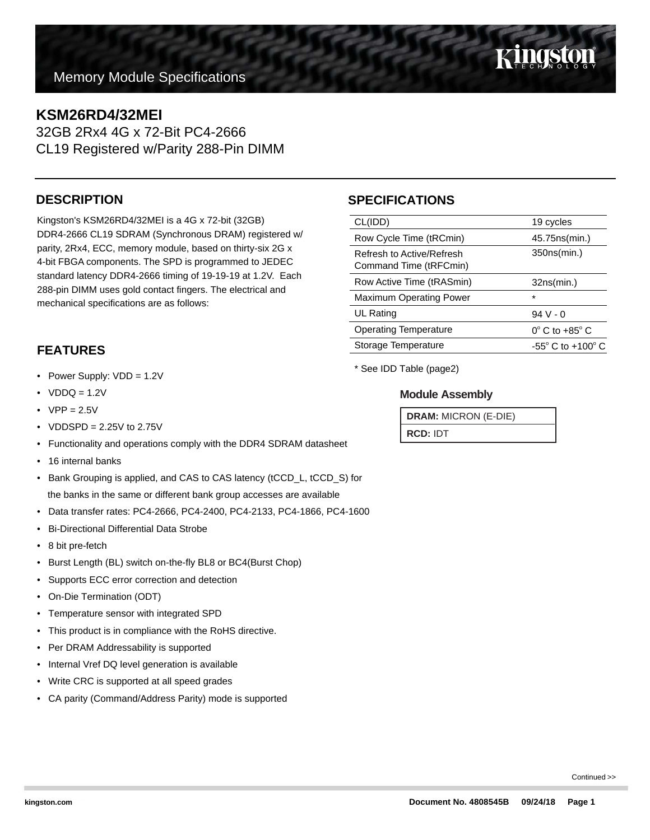# Kingston

**Memory Module Specifications** 

### **KSM26RD4/32MEI**

32GB 2Rx4 4G x 72-Bit PC4-2666 CL19 Registered w/Parity 288-Pin DIMM

#### **DESCRIPTION**

Kingston's KSM26RD4/32MEI is a 4G x 72-bit (32GB) DDR4-2666 CL19 SDRAM (Synchronous DRAM) registered w/ parity, 2Rx4, ECC, memory module, based on thirty-six 2G x 4-bit FBGA components. The SPD is programmed to JEDEC standard latency DDR4-2666 timing of 19-19-19 at 1.2V. Each 288-pin DIMM uses gold contact fingers. The electrical and mechanical specifications are as follows:

#### **FEATURES**

- Power Supply: VDD = 1.2V
- $VDDQ = 1.2V$
- $VPP = 2.5V$
- VDDSPD =  $2.25V$  to  $2.75V$
- Functionality and operations comply with the DDR4 SDRAM datasheet
- 16 internal banks
- Bank Grouping is applied, and CAS to CAS latency (tCCD\_L, tCCD\_S) for the banks in the same or different bank group accesses are available
- Data transfer rates: PC4-2666, PC4-2400, PC4-2133, PC4-1866, PC4-1600
- Bi-Directional Differential Data Strobe
- 8 bit pre-fetch
- Burst Length (BL) switch on-the-fly BL8 or BC4(Burst Chop)
- Supports ECC error correction and detection
- On-Die Termination (ODT)
- Temperature sensor with integrated SPD
- This product is in compliance with the RoHS directive.
- Per DRAM Addressability is supported
- Internal Vref DQ level generation is available
- Write CRC is supported at all speed grades
- CA parity (Command/Address Parity) mode is supported

### **SPECIFICATIONS**

| CL(IDD)                                             | 19 cycles                           |  |
|-----------------------------------------------------|-------------------------------------|--|
| Row Cycle Time (tRCmin)                             | 45.75ns(min.)                       |  |
| Refresh to Active/Refresh<br>Command Time (tRFCmin) | 350ns(min.)                         |  |
| Row Active Time (tRASmin)                           | 32ns(min.)                          |  |
| <b>Maximum Operating Power</b>                      | $\star$                             |  |
| UL Rating                                           | $94V - 0$                           |  |
| <b>Operating Temperature</b>                        | $0^\circ$ C to +85 $^\circ$ C       |  |
| Storage Temperature                                 | $-55^{\circ}$ C to $+100^{\circ}$ C |  |
|                                                     |                                     |  |

\* See IDD Table (page2)

#### **Module Assembly**

**DRAM:** MICRON (E-DIE) **RCD:** IDT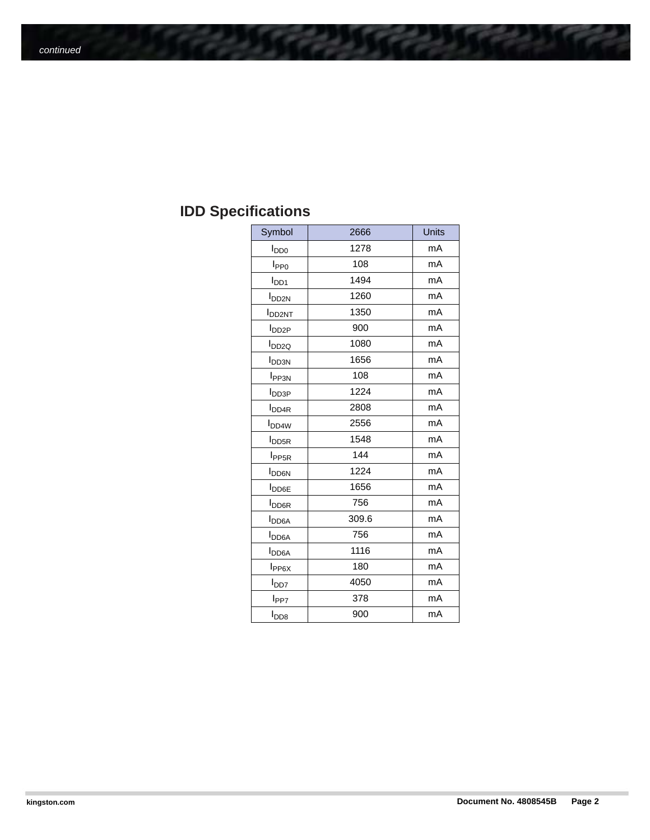## **IDD Specifications**

| Symbol                   | 2666  | Units |
|--------------------------|-------|-------|
| <b>I</b> <sub>DD0</sub>  | 1278  | mA    |
| I <sub>PP0</sub>         | 108   | mA    |
| $I_{DD1}$                | 1494  | mA    |
| <b>I</b> <sub>DD2N</sub> | 1260  | mA    |
| <b>I</b> DD2NT           | 1350  | mA    |
| I <sub>DD2P</sub>        | 900   | mA    |
| I <sub>DD2Q</sub>        | 1080  | mA    |
| <b>I</b> <sub>DD3N</sub> | 1656  | mA    |
| <b>I</b> <sub>PP3N</sub> | 108   | mA    |
| <b>I</b> <sub>DD3P</sub> | 1224  | mA    |
| <b>I</b> <sub>DD4R</sub> | 2808  | mA    |
| <b>I</b> <sub>DD4W</sub> | 2556  | mA    |
| <b>I</b> <sub>DD5R</sub> | 1548  | mA    |
| I <sub>PP5R</sub>        | 144   | mA    |
| <b>I</b> <sub>DD6N</sub> | 1224  | mA    |
| <b>I</b> <sub>DD6E</sub> | 1656  | mA    |
| <b>I</b> <sub>DD6R</sub> | 756   | mA    |
| <b>I</b> <sub>DD6A</sub> | 309.6 | mA    |
| <b>I</b> <sub>DD6A</sub> | 756   | mA    |
| <b>I</b> <sub>DD6A</sub> | 1116  | mA    |
| I <sub>PP6X</sub>        | 180   | mA    |
| l <sub>DD7</sub>         | 4050  | mA    |
| l <sub>PP7</sub>         | 378   | mA    |
| $I_{\mathsf{DD}8}$       | 900   | mA    |